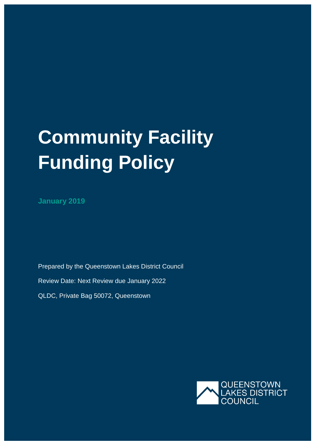# **Community Facility Funding Policy**

**January 2019**

Prepared by the Queenstown Lakes District Council Review Date: Next Review due January 2022 QLDC, Private Bag 50072, Queenstown

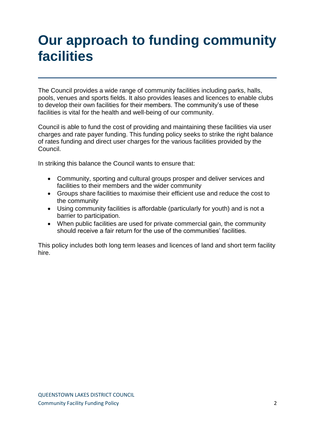### **Our approach to funding community facilities**

The Council provides a wide range of community facilities including parks, halls, pools, venues and sports fields. It also provides leases and licences to enable clubs to develop their own facilities for their members. The community's use of these facilities is vital for the health and well-being of our community.

Council is able to fund the cost of providing and maintaining these facilities via user charges and rate payer funding. This funding policy seeks to strike the right balance of rates funding and direct user charges for the various facilities provided by the Council.

In striking this balance the Council wants to ensure that:

- Community, sporting and cultural groups prosper and deliver services and facilities to their members and the wider community
- Groups share facilities to maximise their efficient use and reduce the cost to the community
- Using community facilities is affordable (particularly for youth) and is not a barrier to participation.
- When public facilities are used for private commercial gain, the community should receive a fair return for the use of the communities' facilities.

This policy includes both long term leases and licences of land and short term facility hire.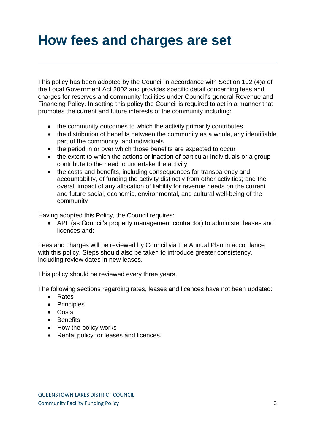# **How fees and charges are set**

This policy has been adopted by the Council in accordance with Section 102 (4)a of the Local Government Act 2002 and provides specific detail concerning fees and charges for reserves and community facilities under Council's general Revenue and Financing Policy. In setting this policy the Council is required to act in a manner that promotes the current and future interests of the community including:

- the community outcomes to which the activity primarily contributes
- the distribution of benefits between the community as a whole, any identifiable part of the community, and individuals
- the period in or over which those benefits are expected to occur
- the extent to which the actions or inaction of particular individuals or a group contribute to the need to undertake the activity
- the costs and benefits, including consequences for transparency and accountability, of funding the activity distinctly from other activities; and the overall impact of any allocation of liability for revenue needs on the current and future social, economic, environmental, and cultural well-being of the community

Having adopted this Policy, the Council requires:

 APL (as Council's property management contractor) to administer leases and licences and:

Fees and charges will be reviewed by Council via the Annual Plan in accordance with this policy. Steps should also be taken to introduce greater consistency, including review dates in new leases.

This policy should be reviewed every three years.

The following sections regarding rates, leases and licences have not been updated:

- Rates
- Principles
- Costs
- Benefits
- How the policy works
- Rental policy for leases and licences.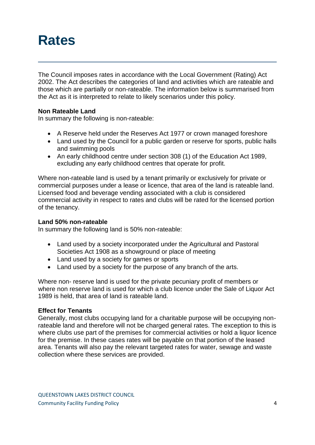### **Rates**

The Council imposes rates in accordance with the Local Government (Rating) Act 2002. The Act describes the categories of land and activities which are rateable and those which are partially or non-rateable. The information below is summarised from the Act as it is interpreted to relate to likely scenarios under this policy.

### **Non Rateable Land**

In summary the following is non-rateable:

- A Reserve held under the Reserves Act 1977 or crown managed foreshore
- Land used by the Council for a public garden or reserve for sports, public halls and swimming pools
- An early childhood centre under section 308 (1) of the Education Act 1989, excluding any early childhood centres that operate for profit.

Where non-rateable land is used by a tenant primarily or exclusively for private or commercial purposes under a lease or licence, that area of the land is rateable land. Licensed food and beverage vending associated with a club is considered commercial activity in respect to rates and clubs will be rated for the licensed portion of the tenancy.

#### **Land 50% non-rateable**

In summary the following land is 50% non-rateable:

- Land used by a society incorporated under the Agricultural and Pastoral Societies Act 1908 as a showground or place of meeting
- Land used by a society for games or sports
- Land used by a society for the purpose of any branch of the arts.

Where non- reserve land is used for the private pecuniary profit of members or where non reserve land is used for which a club licence under the Sale of Liquor Act 1989 is held, that area of land is rateable land.

#### **Effect for Tenants**

Generally, most clubs occupying land for a charitable purpose will be occupying nonrateable land and therefore will not be charged general rates. The exception to this is where clubs use part of the premises for commercial activities or hold a liquor licence for the premise. In these cases rates will be payable on that portion of the leased area. Tenants will also pay the relevant targeted rates for water, sewage and waste collection where these services are provided.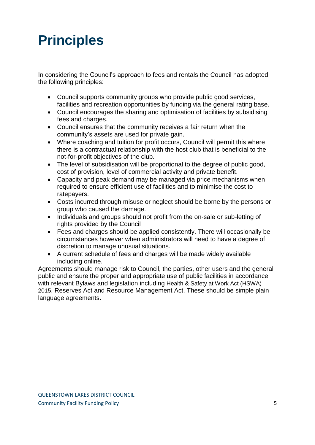# **Principles**

In considering the Council's approach to fees and rentals the Council has adopted the following principles:

- Council supports community groups who provide public good services, facilities and recreation opportunities by funding via the general rating base.
- Council encourages the sharing and optimisation of facilities by subsidising fees and charges.
- Council ensures that the community receives a fair return when the community's assets are used for private gain.
- Where coaching and tuition for profit occurs, Council will permit this where there is a contractual relationship with the host club that is beneficial to the not-for-profit objectives of the club.
- The level of subsidisation will be proportional to the degree of public good, cost of provision, level of commercial activity and private benefit.
- Capacity and peak demand may be managed via price mechanisms when required to ensure efficient use of facilities and to minimise the cost to ratepayers.
- Costs incurred through misuse or neglect should be borne by the persons or group who caused the damage.
- Individuals and groups should not profit from the on-sale or sub-letting of rights provided by the Council
- Fees and charges should be applied consistently. There will occasionally be circumstances however when administrators will need to have a degree of discretion to manage unusual situations.
- A current schedule of fees and charges will be made widely available including online.

Agreements should manage risk to Council, the parties, other users and the general public and ensure the proper and appropriate use of public facilities in accordance with relevant Bylaws and legislation including Health & Safety at Work Act (HSWA) 2015, Reserves Act and Resource Management Act. These should be simple plain language agreements.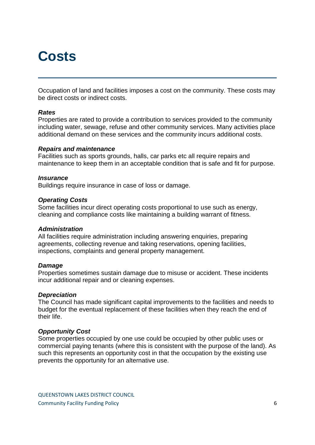### **Costs**

Occupation of land and facilities imposes a cost on the community. These costs may be direct costs or indirect costs.

#### *Rates*

Properties are rated to provide a contribution to services provided to the community including water, sewage, refuse and other community services. Many activities place additional demand on these services and the community incurs additional costs.

#### *Repairs and maintenance*

Facilities such as sports grounds, halls, car parks etc all require repairs and maintenance to keep them in an acceptable condition that is safe and fit for purpose.

#### *Insurance*

Buildings require insurance in case of loss or damage.

#### *Operating Costs*

Some facilities incur direct operating costs proportional to use such as energy, cleaning and compliance costs like maintaining a building warrant of fitness.

#### *Administration*

All facilities require administration including answering enquiries, preparing agreements, collecting revenue and taking reservations, opening facilities, inspections, complaints and general property management.

#### *Damage*

Properties sometimes sustain damage due to misuse or accident. These incidents incur additional repair and or cleaning expenses.

#### *Depreciation*

The Council has made significant capital improvements to the facilities and needs to budget for the eventual replacement of these facilities when they reach the end of their life.

#### *Opportunity Cost*

Some properties occupied by one use could be occupied by other public uses or commercial paying tenants (where this is consistent with the purpose of the land). As such this represents an opportunity cost in that the occupation by the existing use prevents the opportunity for an alternative use.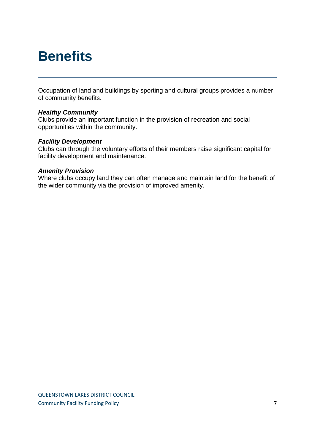### **Benefits**

Occupation of land and buildings by sporting and cultural groups provides a number of community benefits.

#### *Healthy Community*

Clubs provide an important function in the provision of recreation and social opportunities within the community.

#### *Facility Development*

Clubs can through the voluntary efforts of their members raise significant capital for facility development and maintenance.

#### *Amenity Provision*

Where clubs occupy land they can often manage and maintain land for the benefit of the wider community via the provision of improved amenity.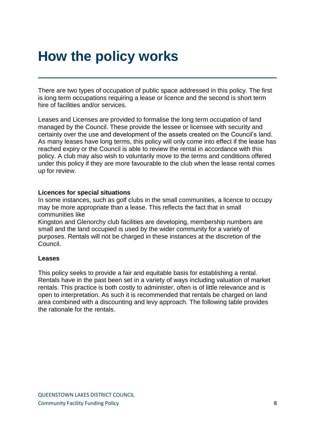## **How the policy works**

There are two types of occupation of public space addressed in this policy. The first is long term occupations requiring a lease or licence and the second is short term hire of facilities and/or services.

Leases and Licenses are provided to formalise the long term occupation of land managed by the Council. These provide the lessee or licensee with security and certainty over the use and development of the assets created on the Council's land. As many leases have long terms, this policy will only come into effect if the lease has reached expiry or the Council is able to review the rental in accordance with this policy. A club may also wish to voluntarily move to the terms and conditions offered under this policy if they are more favourable to the club when the lease rental comes up for review.

#### **Licences for special situations**

In some instances, such as golf clubs in the small communities, a licence to occupy may be more appropriate than a lease. This reflects the fact that in small communities like

Kingston and Glenorchy club facilities are developing, membership numbers are small and the land occupied is used by the wider community for a variety of purposes. Rentals will not be charged in these instances at the discretion of the Council.

#### **Leases**

This policy seeks to provide a fair and equitable basis for establishing a rental. Rentals have in the past been set in a variety of ways including valuation of market rentals. This practice is both costly to administer, often is of little relevance and is open to interpretation. As such it is recommended that rentals be charged on land area combined with a discounting and levy approach. The following table provides the rationale for the rentals.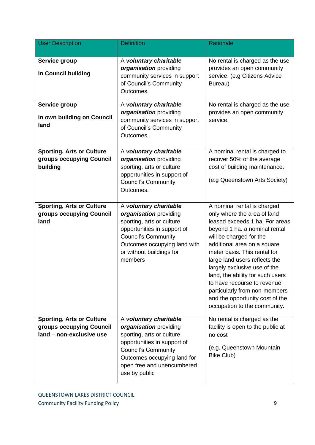| <b>User Description</b>                                                                  | <b>Definition</b>                                                                                                                                                                                                        | Rationale                                                                                                                                                                                                                                                                                                                                                                                                                                                       |
|------------------------------------------------------------------------------------------|--------------------------------------------------------------------------------------------------------------------------------------------------------------------------------------------------------------------------|-----------------------------------------------------------------------------------------------------------------------------------------------------------------------------------------------------------------------------------------------------------------------------------------------------------------------------------------------------------------------------------------------------------------------------------------------------------------|
| Service group<br>in Council building                                                     | A voluntary charitable<br>organisation providing<br>community services in support<br>of Council's Community<br>Outcomes.                                                                                                 | No rental is charged as the use<br>provides an open community<br>service. (e.g Citizens Advice<br>Bureau)                                                                                                                                                                                                                                                                                                                                                       |
| Service group<br>in own building on Council<br>land                                      | A voluntary charitable<br>organisation providing<br>community services in support<br>of Council's Community<br>Outcomes.                                                                                                 | No rental is charged as the use<br>provides an open community<br>service.                                                                                                                                                                                                                                                                                                                                                                                       |
| <b>Sporting, Arts or Culture</b><br>groups occupying Council<br>building                 | A voluntary charitable<br>organisation providing<br>sporting, arts or culture<br>opportunities in support of<br><b>Council's Community</b><br>Outcomes.                                                                  | A nominal rental is charged to<br>recover 50% of the average<br>cost of building maintenance.<br>(e.g Queenstown Arts Society)                                                                                                                                                                                                                                                                                                                                  |
| <b>Sporting, Arts or Culture</b><br>groups occupying Council<br>land                     | A voluntary charitable<br>organisation providing<br>sporting, arts or culture<br>opportunities in support of<br><b>Council's Community</b><br>Outcomes occupying land with<br>or without buildings for<br>members        | A nominal rental is charged<br>only where the area of land<br>leased exceeds 1 ha. For areas<br>beyond 1 ha. a nominal rental<br>will be charged for the<br>additional area on a square<br>meter basis. This rental for<br>large land users reflects the<br>largely exclusive use of the<br>land, the ability for such users<br>to have recourse to revenue<br>particularly from non-members<br>and the opportunity cost of the<br>occupation to the community. |
| <b>Sporting, Arts or Culture</b><br>groups occupying Council<br>land - non-exclusive use | A voluntary charitable<br>organisation providing<br>sporting, arts or culture<br>opportunities in support of<br><b>Council's Community</b><br>Outcomes occupying land for<br>open free and unencumbered<br>use by public | No rental is charged as the<br>facility is open to the public at<br>no cost<br>(e.g. Queenstown Mountain<br>Bike Club)                                                                                                                                                                                                                                                                                                                                          |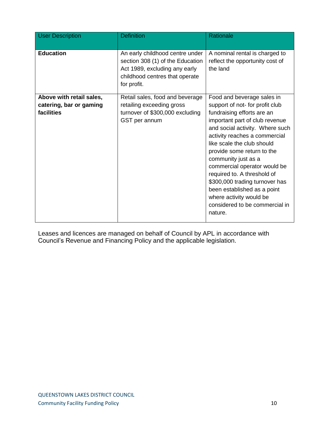| <b>User Description</b>                                           | <b>Definition</b>                                                                                                                                     | Rationale                                                                                                                                                                                                                                                                                                                                                                                                                                                                                    |
|-------------------------------------------------------------------|-------------------------------------------------------------------------------------------------------------------------------------------------------|----------------------------------------------------------------------------------------------------------------------------------------------------------------------------------------------------------------------------------------------------------------------------------------------------------------------------------------------------------------------------------------------------------------------------------------------------------------------------------------------|
| <b>Education</b>                                                  | An early childhood centre under<br>section 308 (1) of the Education<br>Act 1989, excluding any early<br>childhood centres that operate<br>for profit. | A nominal rental is charged to<br>reflect the opportunity cost of<br>the land                                                                                                                                                                                                                                                                                                                                                                                                                |
| Above with retail sales,<br>catering, bar or gaming<br>facilities | Retail sales, food and beverage<br>retailing exceeding gross<br>turnover of \$300,000 excluding<br>GST per annum                                      | Food and beverage sales in<br>support of not- for profit club<br>fundraising efforts are an<br>important part of club revenue<br>and social activity. Where such<br>activity reaches a commercial<br>like scale the club should<br>provide some return to the<br>community just as a<br>commercial operator would be<br>required to. A threshold of<br>\$300,000 trading turnover has<br>been established as a point<br>where activity would be<br>considered to be commercial in<br>nature. |

Leases and licences are managed on behalf of Council by APL in accordance with Council's Revenue and Financing Policy and the applicable legislation.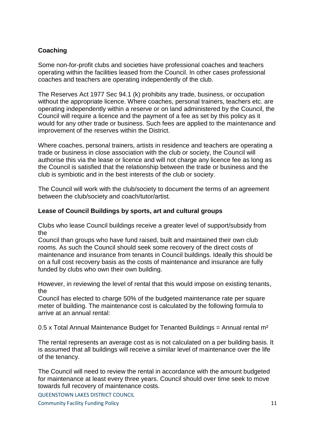### **Coaching**

Some non-for-profit clubs and societies have professional coaches and teachers operating within the facilities leased from the Council. In other cases professional coaches and teachers are operating independently of the club.

The Reserves Act 1977 Sec 94.1 (k) prohibits any trade, business, or occupation without the appropriate licence. Where coaches, personal trainers, teachers etc. are operating independently within a reserve or on land administered by the Council, the Council will require a licence and the payment of a fee as set by this policy as it would for any other trade or business. Such fees are applied to the maintenance and improvement of the reserves within the District.

Where coaches, personal trainers, artists in residence and teachers are operating a trade or business in close association with the club or society, the Council will authorise this via the lease or licence and will not charge any licence fee as long as the Council is satisfied that the relationship between the trade or business and the club is symbiotic and in the best interests of the club or society.

The Council will work with the club/society to document the terms of an agreement between the club/society and coach/tutor/artist.

### **Lease of Council Buildings by sports, art and cultural groups**

Clubs who lease Council buildings receive a greater level of support/subsidy from the

Council than groups who have fund raised, built and maintained their own club rooms. As such the Council should seek some recovery of the direct costs of maintenance and insurance from tenants in Council buildings. Ideally this should be on a full cost recovery basis as the costs of maintenance and insurance are fully funded by clubs who own their own building.

However, in reviewing the level of rental that this would impose on existing tenants, the

Council has elected to charge 50% of the budgeted maintenance rate per square meter of building. The maintenance cost is calculated by the following formula to arrive at an annual rental:

0.5 x Total Annual Maintenance Budget for Tenanted Buildings = Annual rental  $m<sup>2</sup>$ 

The rental represents an average cost as is not calculated on a per building basis. It is assumed that all buildings will receive a similar level of maintenance over the life of the tenancy.

The Council will need to review the rental in accordance with the amount budgeted for maintenance at least every three years. Council should over time seek to move towards full recovery of maintenance costs.

QUEENSTOWN LAKES DISTRICT COUNCIL

**Community Facility Funding Policy 11 Community Facility Funding Policy** 11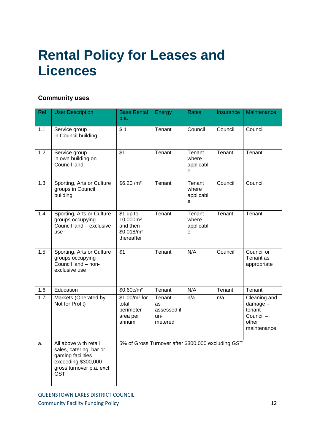# **Rental Policy for Leases and Licences**

### **Community uses**

| Ref | <b>User Description</b>                                                                                                         | <b>Base Rental</b><br>p.a.                                                            | Energy                                            | Rates                             | Insurance | Maintenance                                                            |
|-----|---------------------------------------------------------------------------------------------------------------------------------|---------------------------------------------------------------------------------------|---------------------------------------------------|-----------------------------------|-----------|------------------------------------------------------------------------|
| 1.1 | Service group<br>in Council building                                                                                            | \$1                                                                                   | Tenant                                            | Council                           | Council   | Council                                                                |
| 1.2 | Service group<br>in own building on<br>Council land                                                                             | $\overline{$1$}$                                                                      | Tenant                                            | Tenant<br>where<br>applicabl<br>e | Tenant    | Tenant                                                                 |
| 1.3 | Sporting, Arts or Culture<br>groups in Council<br>building                                                                      | \$6.20/m <sup>2</sup>                                                                 | Tenant                                            | Tenant<br>where<br>applicabl<br>e | Council   | Council                                                                |
| 1.4 | Sporting, Arts or Culture<br>groups occupying<br>Council land - exclusive<br>use                                                | \$1 up to<br>10,000m <sup>2</sup><br>and then<br>\$0.018/m <sup>2</sup><br>thereafter | Tenant                                            | Tenant<br>where<br>applicabl<br>e | Tenant    | Tenant                                                                 |
| 1.5 | Sporting, Arts or Culture<br>groups occupying<br>Council land - non-<br>exclusive use                                           | \$1                                                                                   | Tenant                                            | N/A                               | Council   | Council or<br>Tenant as<br>appropriate                                 |
| 1.6 | Education                                                                                                                       | \$0.60c/m <sup>2</sup>                                                                | Tenant                                            | N/A                               | Tenant    | Tenant                                                                 |
| 1.7 | Markets (Operated by<br>Not for Profit)                                                                                         | $$1.00/m2$ for<br>total<br>perimeter<br>area per<br>annum                             | Tenant $-$<br>as<br>assessed if<br>un-<br>metered | n/a                               | n/a       | Cleaning and<br>damage -<br>tenant<br>Council-<br>other<br>maintenance |
| a.  | All above with retail<br>sales, catering, bar or<br>gaming facilities<br>exceeding \$300,000<br>gross turnover p.a. excl<br>GST | 5% of Gross Turnover after \$300,000 excluding GST                                    |                                                   |                                   |           |                                                                        |

QUEENSTOWN LAKES DISTRICT COUNCIL Community Facility Funding Policy 12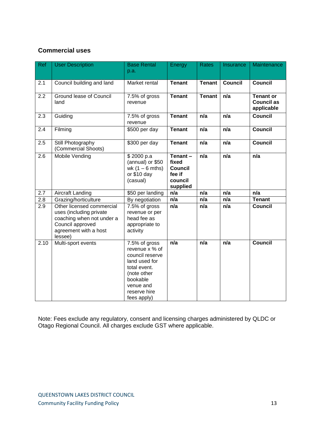### **Commercial uses**

| <b>Ref</b>       | <b>User Description</b>                                                                                                                   | <b>Base Rental</b><br>p.a.                                                                                                                                 | Energy                                                              | <b>Rates</b>  | Insurance      | Maintenance                                         |
|------------------|-------------------------------------------------------------------------------------------------------------------------------------------|------------------------------------------------------------------------------------------------------------------------------------------------------------|---------------------------------------------------------------------|---------------|----------------|-----------------------------------------------------|
| 2.1              | Council building and land                                                                                                                 | Market rental                                                                                                                                              | <b>Tenant</b>                                                       | <b>Tenant</b> | <b>Council</b> | <b>Council</b>                                      |
| 2.2              | Ground lease of Council<br>land                                                                                                           | 7.5% of gross<br>revenue                                                                                                                                   | <b>Tenant</b>                                                       | <b>Tenant</b> | n/a            | <b>Tenant or</b><br><b>Council as</b><br>applicable |
| 2.3              | Guiding                                                                                                                                   | 7.5% of gross<br>revenue                                                                                                                                   | <b>Tenant</b>                                                       | n/a           | n/a            | <b>Council</b>                                      |
| 2.4              | Filming                                                                                                                                   | \$500 per day                                                                                                                                              | <b>Tenant</b>                                                       | n/a           | n/a            | <b>Council</b>                                      |
| 2.5              | Still Photography<br>(Commercial Shoots)                                                                                                  | \$300 per day                                                                                                                                              | <b>Tenant</b>                                                       | n/a           | n/a            | <b>Council</b>                                      |
| 2.6              | Mobile Vending                                                                                                                            | \$2000 p.a<br>(annual) or \$50<br>wk $(1 - 6$ mths)<br>or \$10 day<br>(casual)                                                                             | Tenant-<br>fixed<br><b>Council</b><br>fee if<br>council<br>supplied | n/a           | n/a            | n/a                                                 |
| 2.7              | Aircraft Landing                                                                                                                          | \$50 per landing                                                                                                                                           | n/a                                                                 | n/a           | n/a            | n/a                                                 |
| 2.8              | Grazing/horticulture                                                                                                                      | By negotiation                                                                                                                                             | n/a                                                                 | n/a           | n/a            | <b>Tenant</b>                                       |
| $\overline{2.9}$ | Other licensed commercial<br>uses (including private<br>coaching when not under a<br>Council approved<br>agreement with a host<br>lessee) | 7.5% of gross<br>revenue or per<br>head fee as<br>appropriate to<br>activity                                                                               | n/a                                                                 | n/a           | n/a            | <b>Council</b>                                      |
| 2.10             | Multi-sport events                                                                                                                        | 7.5% of gross<br>revenue x % of<br>council reserve<br>land used for<br>total event.<br>(note other<br>bookable<br>venue and<br>reserve hire<br>fees apply) | n/a                                                                 | n/a           | n/a            | <b>Council</b>                                      |

Note: Fees exclude any regulatory, consent and licensing charges administered by QLDC or Otago Regional Council. All charges exclude GST where applicable.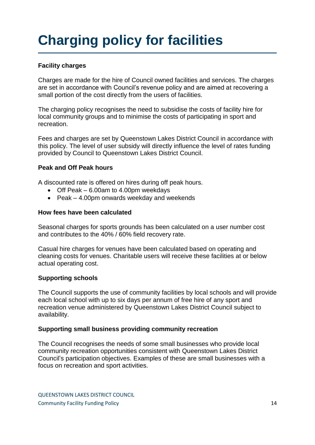# **Charging policy for facilities**

### **Facility charges**

Charges are made for the hire of Council owned facilities and services. The charges are set in accordance with Council's revenue policy and are aimed at recovering a small portion of the cost directly from the users of facilities.

The charging policy recognises the need to subsidise the costs of facility hire for local community groups and to minimise the costs of participating in sport and recreation.

Fees and charges are set by Queenstown Lakes District Council in accordance with this policy. The level of user subsidy will directly influence the level of rates funding provided by Council to Queenstown Lakes District Council.

### **Peak and Off Peak hours**

A discounted rate is offered on hires during off peak hours.

- Off Peak 6.00am to 4.00pm weekdays
- Peak 4.00pm onwards weekday and weekends

### **How fees have been calculated**

Seasonal charges for sports grounds has been calculated on a user number cost and contributes to the 40% / 60% field recovery rate.

Casual hire charges for venues have been calculated based on operating and cleaning costs for venues. Charitable users will receive these facilities at or below actual operating cost.

#### **Supporting schools**

The Council supports the use of community facilities by local schools and will provide each local school with up to six days per annum of free hire of any sport and recreation venue administered by Queenstown Lakes District Council subject to availability.

#### **Supporting small business providing community recreation**

The Council recognises the needs of some small businesses who provide local community recreation opportunities consistent with Queenstown Lakes District Council's participation objectives. Examples of these are small businesses with a focus on recreation and sport activities.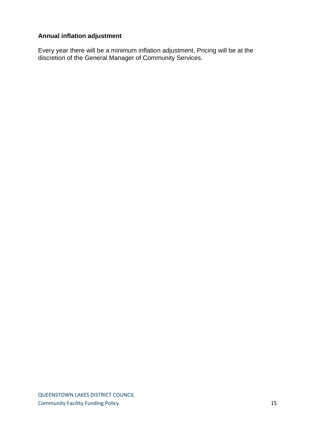### **Annual inflation adjustment**

Every year there will be a minimum inflation adjustment. Pricing will be at the discretion of the General Manager of Community Services.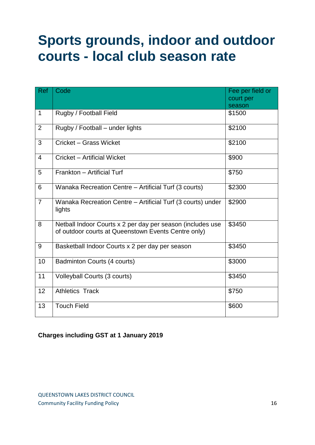## **Sports grounds, indoor and outdoor courts - local club season rate**

| Ref            | Code                                                                                                              | Fee per field or<br>court per<br>season |
|----------------|-------------------------------------------------------------------------------------------------------------------|-----------------------------------------|
| $\mathbf 1$    | Rugby / Football Field                                                                                            | \$1500                                  |
| $\overline{2}$ | Rugby / Football - under lights                                                                                   | \$2100                                  |
| 3              | Cricket - Grass Wicket                                                                                            | \$2100                                  |
| 4              | Cricket - Artificial Wicket                                                                                       | \$900                                   |
| 5              | Frankton - Artificial Turf                                                                                        | \$750                                   |
| 6              | Wanaka Recreation Centre - Artificial Turf (3 courts)                                                             | \$2300                                  |
| $\overline{7}$ | Wanaka Recreation Centre - Artificial Turf (3 courts) under<br>lights                                             | \$2900                                  |
| 8              | Netball Indoor Courts x 2 per day per season (includes use<br>of outdoor courts at Queenstown Events Centre only) | \$3450                                  |
| 9              | Basketball Indoor Courts x 2 per day per season                                                                   | \$3450                                  |
| 10             | Badminton Courts (4 courts)                                                                                       | \$3000                                  |
| 11             | Volleyball Courts (3 courts)                                                                                      | \$3450                                  |
| 12             | <b>Athletics Track</b>                                                                                            | \$750                                   |
| 13             | <b>Touch Field</b>                                                                                                | \$600                                   |

### **Charges including GST at 1 January 2019**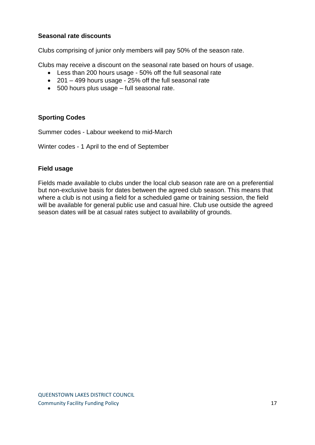### **Seasonal rate discounts**

Clubs comprising of junior only members will pay 50% of the season rate.

Clubs may receive a discount on the seasonal rate based on hours of usage.

- Less than 200 hours usage 50% off the full seasonal rate
- 201 499 hours usage 25% off the full seasonal rate
- 500 hours plus usage full seasonal rate.

### **Sporting Codes**

Summer codes - Labour weekend to mid-March

Winter codes - 1 April to the end of September

### **Field usage**

Fields made available to clubs under the local club season rate are on a preferential but non-exclusive basis for dates between the agreed club season. This means that where a club is not using a field for a scheduled game or training session, the field will be available for general public use and casual hire. Club use outside the agreed season dates will be at casual rates subject to availability of grounds.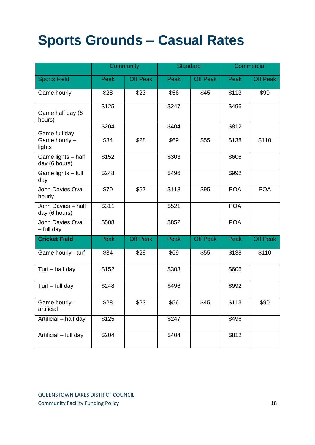# **Sports Grounds – Casual Rates**

|                                     |       | Community       | <b>Standard</b> |                 | Commercial |            |
|-------------------------------------|-------|-----------------|-----------------|-----------------|------------|------------|
| <b>Sports Field</b>                 | Peak  | <b>Off Peak</b> | Peak            | <b>Off Peak</b> | Peak       | Off Peak   |
| Game hourly                         | \$28  | \$23            | \$56            | \$45            | \$113      | \$90       |
| Game half day (6<br>hours)          | \$125 |                 | \$247           |                 | \$496      |            |
| Game full day                       | \$204 |                 | \$404           |                 | \$812      |            |
| Game hourly -<br>lights             | \$34  | \$28            | \$69            | \$55            | \$138      | \$110      |
| Game lights - half<br>day (6 hours) | \$152 |                 | \$303           |                 | \$606      |            |
| Game lights - full<br>day           | \$248 |                 | \$496           |                 | \$992      |            |
| John Davies Oval<br>hourly          | \$70  | \$57            | \$118           | \$95            | <b>POA</b> | <b>POA</b> |
| John Davies - half<br>day (6 hours) | \$311 |                 | \$521           |                 | <b>POA</b> |            |
| John Davies Oval<br>$-$ full day    | \$508 |                 | \$852           |                 | <b>POA</b> |            |
| <b>Cricket Field</b>                | Peak  | <b>Off Peak</b> | Peak            | <b>Off Peak</b> | Peak       | Off Peak   |
| Game hourly - turf                  | \$34  | \$28            | \$69            | \$55            | \$138      | \$110      |
| Turf - half day                     | \$152 |                 | \$303           |                 | \$606      |            |
| Turf - full day                     | \$248 |                 | \$496           |                 | \$992      |            |
| Game hourly -<br>artificial         | \$28  | \$23            | \$56            | \$45            | \$113      | \$90       |
| Artificial - half day               | \$125 |                 | \$247           |                 | \$496      |            |
| Artificial - full day               | \$204 |                 | \$404           |                 | \$812      |            |

QUEENSTOWN LAKES DISTRICT COUNCIL Community Facility Funding Policy 18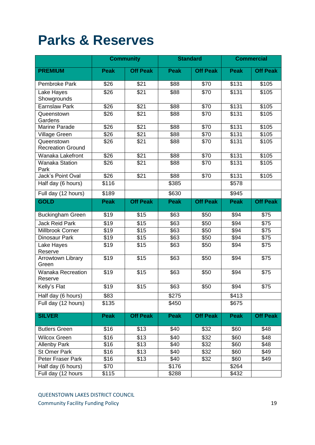### **Parks & Reserves**

|                                        |                  | <b>Community</b> | <b>Standard</b> |                  | <b>Commercial</b> |                  |
|----------------------------------------|------------------|------------------|-----------------|------------------|-------------------|------------------|
| <b>PREMIUM</b>                         | <b>Peak</b>      | <b>Off Peak</b>  | <b>Peak</b>     | <b>Off Peak</b>  | <b>Peak</b>       | <b>Off Peak</b>  |
| Pembroke Park                          | \$26             | \$21             | \$88            | \$70             | \$131             | \$105            |
| Lake Hayes<br>Showgrounds              | \$26             | \$21             | \$88            | \$70             | \$131             | \$105            |
| <b>Earnslaw Park</b>                   | \$26             | $\overline{$21}$ | \$88            | $\sqrt{570}$     | \$131             | \$105            |
| Queenstown<br>Gardens                  | \$26             | $\overline{$21}$ | \$88            | \$70             | \$131             | \$105            |
| Marine Parade                          | \$26             | $\overline{$21}$ | \$88            | $\sqrt{$70}$     | \$131             | \$105            |
| Village Green                          | \$26             | \$21             | \$88            | \$70             | \$131             | \$105            |
| Queenstown<br><b>Recreation Ground</b> | \$26             | \$21             | \$88            | \$70             | \$131             | \$105            |
| Wanaka Lakefront                       | $\overline{$26}$ | $\overline{$21}$ | \$88            | $\overline{$70}$ | \$131             | \$105            |
| <b>Wanaka Station</b><br>Park          | \$26             | $\overline{$21}$ | \$88            | \$70             | \$131             | \$105            |
| Jack's Point Oval                      | \$26             | \$21             | \$88            | \$70             | \$131             | \$105            |
| Half day (6 hours)                     | \$116            |                  | \$385           |                  | \$578             |                  |
| Full day (12 hours)                    | \$189            |                  | \$630           |                  | \$945             |                  |
| <b>GOLD</b>                            | <b>Peak</b>      | <b>Off Peak</b>  | <b>Peak</b>     | <b>Off Peak</b>  | <b>Peak</b>       | <b>Off Peak</b>  |
| <b>Buckingham Green</b>                | \$19             | \$15             | \$63            | \$50             | \$94              | \$75             |
| <b>Jack Reid Park</b>                  | \$19             | \$15             | \$63            | \$50             | \$94              | \$75             |
| Millbrook Corner                       | \$19             | $\overline{$15}$ | \$63            | \$50             | \$94              | $\overline{$75}$ |
| Dinosaur Park                          | \$19             | \$15             | \$63            | \$50             | \$94              | \$75             |
| Lake Hayes<br>Reserve                  | \$19             | $\sqrt{$15}$     | \$63            | \$50             | \$94              | $\sqrt{$75}$     |
| Arrowtown Library<br>Green             | \$19             | \$15             | \$63            | \$50             | \$94              | $\overline{$75}$ |
| <b>Wanaka Recreation</b><br>Reserve    | $\sqrt{$19}$     | $\overline{$15}$ | \$63            | \$50             | \$94              | $\overline{$75}$ |
| Kelly's Flat                           | $\sqrt{$19}$     | $\sqrt{$15}$     | \$63            | \$50             | \$94              | $\overline{$75}$ |
| Half day (6 hours)                     | \$83             |                  | \$275           |                  | \$413             |                  |
| Full day (12 hours)                    | \$135            |                  | \$450           |                  | \$675             |                  |
| <b>SILVER</b>                          | <b>Peak</b>      | <b>Off Peak</b>  | <b>Peak</b>     | <b>Off Peak</b>  | <b>Peak</b>       | <b>Off Peak</b>  |
| <b>Butlers Green</b>                   | \$16             | \$13             | \$40            | \$32             | \$60              | \$48             |
| <b>Wilcox Green</b>                    | \$16             | \$13             | \$40            | \$32             | \$60              | \$48             |
| <b>Allenby Park</b>                    | \$16             | \$13             | \$40            | \$32             | \$60              | \$48             |
| <b>St Omer Park</b>                    | \$16             | \$13             | \$40            | \$32             | \$60              | \$49             |
| Peter Fraser Park                      | \$16             | \$13             | \$40            | \$32             | \$60              | \$49             |
| Half day (6 hours)                     | \$70             |                  | \$176           |                  | \$264             |                  |
| Full day (12 hours                     | \$115            |                  | \$288           |                  | \$432             |                  |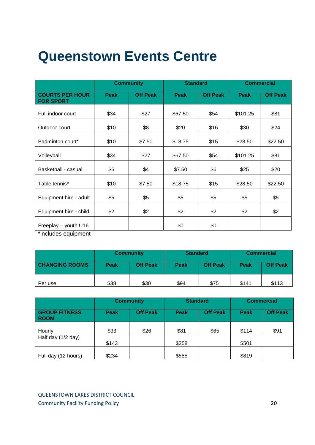# **Queenstown Events Centre**

|                                            | <b>Community</b> |                 |             | <b>Standard</b> |          | <b>Commercial</b> |  |
|--------------------------------------------|------------------|-----------------|-------------|-----------------|----------|-------------------|--|
| <b>COURTS PER HOUR</b><br><b>FOR SPORT</b> | <b>Peak</b>      | <b>Off Peak</b> | <b>Peak</b> | <b>Off Peak</b> | Peak     | <b>Off Peak</b>   |  |
| Full indoor court                          | \$34             | \$27            | \$67.50     | \$54            | \$101.25 | \$81              |  |
| Outdoor court                              | \$10             | \$8             | \$20        | \$16            | \$30     | \$24              |  |
| Badminton court*                           | \$10             | \$7.50          | \$18.75     | \$15            | \$28.50  | \$22.50           |  |
| Volleyball                                 | \$34             | \$27            | \$67.50     | \$54            | \$101.25 | \$81              |  |
| Basketball - casual                        | \$6              | \$4             | \$7.50      | \$6             | \$25     | \$20              |  |
| Table tennis*                              | \$10             | \$7.50          | \$18.75     | \$15            | \$28.50  | \$22.50           |  |
| Equipment hire - adult                     | \$5              | \$5             | \$5         | \$5             | \$5      | \$5               |  |
| Equipment hire - child                     | \$2              | \$2             | \$2         | \$2             | \$2      | \$2               |  |
| Freeplay - youth U16                       |                  |                 | \$0         | \$0             |          |                   |  |

\*includes equipment

|                       | <b>Community</b> |                 | <b>Standard</b> |                 | <b>Commercial</b> |                 |
|-----------------------|------------------|-----------------|-----------------|-----------------|-------------------|-----------------|
| <b>CHANGING ROOMS</b> | Peak             | <b>Off Peak</b> | Peak            | <b>Off Peak</b> | Peak              | <b>Off Peak</b> |
| Per use               | \$38             | \$30            | \$94            | \$75            | \$141             | \$113           |

|                                     | <b>Community</b> |                 | <b>Standard</b> |                 | <b>Commercial</b> |                 |
|-------------------------------------|------------------|-----------------|-----------------|-----------------|-------------------|-----------------|
| <b>GROUP FITNESS</b><br><b>ROOM</b> | <b>Peak</b>      | <b>Off Peak</b> | <b>Peak</b>     | <b>Off Peak</b> | <b>Peak</b>       | <b>Off Peak</b> |
| Hourly                              | \$33             | \$26            | \$81            | \$65            | \$114             | \$91            |
| Half day (1/2 day)                  | \$143            |                 | \$358           |                 | \$501             |                 |
| Full day (12 hours)                 | \$234            |                 | \$585           |                 | \$819             |                 |

QUEENSTOWN LAKES DISTRICT COUNCIL **Community Facility Funding Policy 20** 20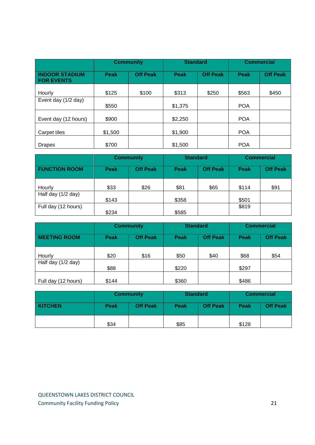|                                            | <b>Community</b> |                 |         | <b>Standard</b> |             | <b>Commercial</b> |  |
|--------------------------------------------|------------------|-----------------|---------|-----------------|-------------|-------------------|--|
| <b>INDOOR STADIUM</b><br><b>FOR EVENTS</b> | <b>Peak</b>      | <b>Off Peak</b> | Peak    | <b>Off Peak</b> | <b>Peak</b> | <b>Off Peak</b>   |  |
| Hourly                                     | \$125            | \$100           | \$313   | \$250           | \$563       | \$450             |  |
| Event day (1/2 day)                        | \$550            |                 | \$1,375 |                 | <b>POA</b>  |                   |  |
| Event day (12 hours)                       | \$900            |                 | \$2,250 |                 | <b>POA</b>  |                   |  |
| Carpet tiles                               | \$1,500          |                 | \$1,900 |                 | <b>POA</b>  |                   |  |
| <b>Drapes</b>                              | \$700            |                 | \$1,500 |                 | <b>POA</b>  |                   |  |

|                      | <b>Community</b> |                 | <b>Standard</b> |                 | <b>Commercial</b> |                 |
|----------------------|------------------|-----------------|-----------------|-----------------|-------------------|-----------------|
| <b>FUNCTION ROOM</b> | <b>Peak</b>      | <b>Off Peak</b> | Peak            | <b>Off Peak</b> | Peak              | <b>Off Peak</b> |
| Hourly               | \$33             | \$26            | \$81            | \$65            | \$114             | \$91            |
| Half day (1/2 day)   | \$143            |                 | \$358           |                 | \$501             |                 |
| Full day (12 hours)  | \$234            |                 | \$585           |                 | \$819             |                 |

|                     | <b>Community</b> |                 | <b>Standard</b> |                 | <b>Commercial</b> |                 |
|---------------------|------------------|-----------------|-----------------|-----------------|-------------------|-----------------|
| <b>MEETING ROOM</b> | <b>Peak</b>      | <b>Off Peak</b> | Peak            | <b>Off Peak</b> | Peak              | <b>Off Peak</b> |
| Hourly              | \$20             | \$16            | \$50            | \$40            | \$68              | \$54            |
| Half day (1/2 day)  | \$88             |                 | \$220           |                 | \$297             |                 |
| Full day (12 hours) | \$144            |                 | \$360           |                 | \$486             |                 |

|                | <b>Community</b> |                 | <b>Standard</b> |                 | <b>Commercial</b> |                 |
|----------------|------------------|-----------------|-----------------|-----------------|-------------------|-----------------|
| <b>KITCHEN</b> | <b>Peak</b>      | <b>Off Peak</b> | <b>Peak</b>     | <b>Off Peak</b> | Peak              | <b>Off Peak</b> |
|                | \$34             |                 | \$85            |                 | \$128             |                 |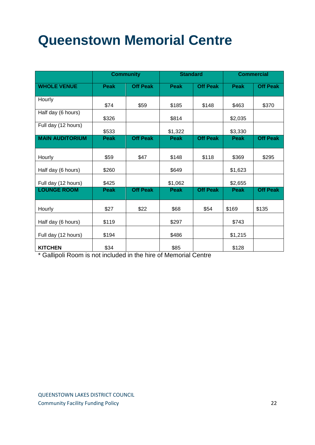# **Queenstown Memorial Centre**

|                        |             | <b>Community</b> | <b>Standard</b> |                 | <b>Commercial</b> |                 |
|------------------------|-------------|------------------|-----------------|-----------------|-------------------|-----------------|
| <b>WHOLE VENUE</b>     | <b>Peak</b> | <b>Off Peak</b>  | <b>Peak</b>     | <b>Off Peak</b> | Peak              | <b>Off Peak</b> |
| Hourly                 | \$74        | \$59             | \$185           | \$148           | \$463             | \$370           |
| Half day (6 hours)     | \$326       |                  | \$814           |                 | \$2,035           |                 |
| Full day (12 hours)    | \$533       |                  | \$1,322         |                 | \$3,330           |                 |
| <b>MAIN AUDITORIUM</b> | <b>Peak</b> | <b>Off Peak</b>  | <b>Peak</b>     | <b>Off Peak</b> | <b>Peak</b>       | <b>Off Peak</b> |
| Hourly                 | \$59        | \$47             | \$148           | \$118           | \$369             | \$295           |
| Half day (6 hours)     | \$260       |                  | \$649           |                 | \$1,623           |                 |
| Full day (12 hours)    | \$425       |                  | \$1,062         |                 | \$2,655           |                 |
| <b>LOUNGE ROOM</b>     | <b>Peak</b> | <b>Off Peak</b>  | <b>Peak</b>     | <b>Off Peak</b> | Peak              | <b>Off Peak</b> |
| Hourly                 | \$27        | \$22             | \$68            | \$54            | \$169             | \$135           |
| Half day (6 hours)     | \$119       |                  | \$297           |                 | \$743             |                 |
| Full day (12 hours)    | \$194       |                  | \$486           |                 | \$1,215           |                 |
| <b>KITCHEN</b>         | \$34        |                  | \$85            |                 | \$128             |                 |

\* Gallipoli Room is not included in the hire of Memorial Centre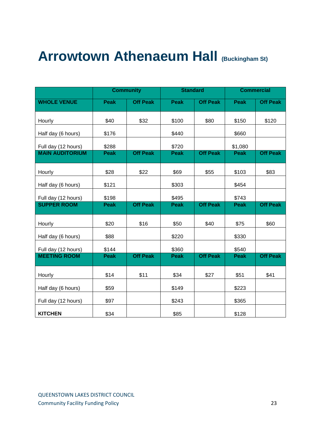### **Arrowtown Athenaeum Hall (Buckingham St)**

|                        |             | <b>Community</b> | <b>Standard</b> |                 | <b>Commercial</b> |                 |
|------------------------|-------------|------------------|-----------------|-----------------|-------------------|-----------------|
| <b>WHOLE VENUE</b>     | <b>Peak</b> | <b>Off Peak</b>  | <b>Peak</b>     | <b>Off Peak</b> | <b>Peak</b>       | <b>Off Peak</b> |
| Hourly                 | \$40        | \$32             | \$100           | \$80            | \$150             | \$120           |
| Half day (6 hours)     | \$176       |                  | \$440           |                 | \$660             |                 |
| Full day (12 hours)    | \$288       |                  | \$720           |                 | \$1,080           |                 |
| <b>MAIN AUDITORIUM</b> | <b>Peak</b> | <b>Off Peak</b>  | <b>Peak</b>     | <b>Off Peak</b> | <b>Peak</b>       | <b>Off Peak</b> |
| Hourly                 | \$28        | \$22             | \$69            | \$55            | \$103             | \$83            |
| Half day (6 hours)     | \$121       |                  | \$303           |                 | \$454             |                 |
| Full day (12 hours)    | \$198       |                  | \$495           |                 | \$743             |                 |
| <b>SUPPER ROOM</b>     | <b>Peak</b> | <b>Off Peak</b>  | <b>Peak</b>     | <b>Off Peak</b> | <b>Peak</b>       | <b>Off Peak</b> |
| Hourly                 | \$20        | \$16             | \$50            | \$40            | \$75              | \$60            |
| Half day (6 hours)     | \$88        |                  | \$220           |                 | \$330             |                 |
| Full day (12 hours)    | \$144       |                  | \$360           |                 | \$540             |                 |
| <b>MEETING ROOM</b>    | <b>Peak</b> | <b>Off Peak</b>  | <b>Peak</b>     | <b>Off Peak</b> | <b>Peak</b>       | <b>Off Peak</b> |
| Hourly                 | \$14        | \$11             | \$34            | \$27            | \$51              | \$41            |
| Half day (6 hours)     | \$59        |                  | \$149           |                 | \$223             |                 |
| Full day (12 hours)    | \$97        |                  | \$243           |                 | \$365             |                 |
| <b>KITCHEN</b>         | \$34        |                  | \$85            |                 | \$128             |                 |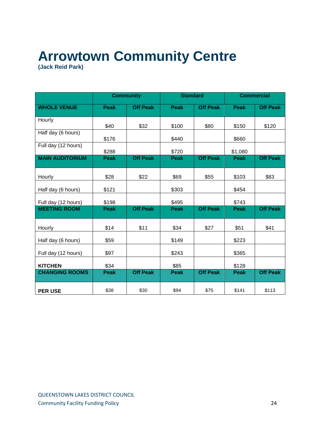# **Arrowtown Community Centre**

**(Jack Reid Park)**

|                        |             | <b>Community</b> | <b>Standard</b> |                 | <b>Commercial</b> |                 |
|------------------------|-------------|------------------|-----------------|-----------------|-------------------|-----------------|
| <b>WHOLE VENUE</b>     | <b>Peak</b> | <b>Off Peak</b>  | <b>Peak</b>     | <b>Off Peak</b> | <b>Peak</b>       | <b>Off Peak</b> |
| Hourly                 | \$40        | \$32             | \$100           | \$80            | \$150             | \$120           |
| Half day (6 hours)     | \$176       |                  | \$440           |                 | \$660             |                 |
| Full day (12 hours)    | \$288       |                  | \$720           |                 | \$1,080           |                 |
| <b>MAIN AUDITORIUM</b> | <b>Peak</b> | <b>Off Peak</b>  | <b>Peak</b>     | <b>Off Peak</b> | <b>Peak</b>       | <b>Off Peak</b> |
| Hourly                 | \$28        | \$22             | \$69            | \$55            | \$103             | \$83            |
| Half day (6 hours)     | \$121       |                  | \$303           |                 | \$454             |                 |
| Full day (12 hours)    | \$198       |                  | \$495           |                 | \$743             |                 |
| <b>MEETING ROOM</b>    | <b>Peak</b> | <b>Off Peak</b>  | <b>Peak</b>     | <b>Off Peak</b> | <b>Peak</b>       | <b>Off Peak</b> |
| Hourly                 | \$14        | \$11             | \$34            | \$27            | \$51              | \$41            |
| Half day (6 hours)     | \$59        |                  | \$149           |                 | \$223             |                 |
| Full day (12 hours)    | \$97        |                  | \$243           |                 | \$365             |                 |
| <b>KITCHEN</b>         | \$34        |                  | \$85            |                 | \$128             |                 |
| <b>CHANGING ROOMS</b>  | <b>Peak</b> | <b>Off Peak</b>  | <b>Peak</b>     | <b>Off Peak</b> | <b>Peak</b>       | <b>Off Peak</b> |
| <b>PER USE</b>         | \$38        | \$30             | \$94            | \$75            | \$141             | \$113           |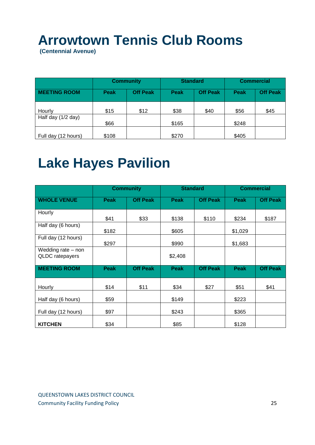# **Arrowtown Tennis Club Rooms**

**(Centennial Avenue)**

| <b>Community</b>    |             | <b>Standard</b> |       | <b>Commercial</b> |             |                 |
|---------------------|-------------|-----------------|-------|-------------------|-------------|-----------------|
| <b>MEETING ROOM</b> | <b>Peak</b> | <b>Off Peak</b> | Peak  | <b>Off Peak</b>   | <b>Peak</b> | <b>Off Peak</b> |
| Hourly              | \$15        | \$12            | \$38  | \$40              | \$56        | \$45            |
| Half day (1/2 day)  | \$66        |                 | \$165 |                   | \$248       |                 |
| Full day (12 hours) | \$108       |                 | \$270 |                   | \$405       |                 |

## **Lake Hayes Pavilion**

|                                       | <b>Community</b> |                 |             | <b>Standard</b> |             | <b>Commercial</b> |  |
|---------------------------------------|------------------|-----------------|-------------|-----------------|-------------|-------------------|--|
| <b>WHOLE VENUE</b>                    | <b>Peak</b>      | <b>Off Peak</b> | <b>Peak</b> | <b>Off Peak</b> | <b>Peak</b> | <b>Off Peak</b>   |  |
| Hourly                                | \$41             | \$33            | \$138       | \$110           | \$234       | \$187             |  |
| Half day (6 hours)                    | \$182            |                 | \$605       |                 | \$1,029     |                   |  |
| Full day (12 hours)                   | \$297            |                 | \$990       |                 | \$1,683     |                   |  |
| Wedding rate - non<br>QLDC ratepayers |                  |                 | \$2,408     |                 |             |                   |  |
| <b>MEETING ROOM</b>                   | <b>Peak</b>      | <b>Off Peak</b> | <b>Peak</b> | <b>Off Peak</b> | <b>Peak</b> | <b>Off Peak</b>   |  |
| Hourly                                | \$14             | \$11            | \$34        | \$27            | \$51        | \$41              |  |
| Half day (6 hours)                    | \$59             |                 | \$149       |                 | \$223       |                   |  |
| Full day (12 hours)                   | \$97             |                 | \$243       |                 | \$365       |                   |  |
| <b>KITCHEN</b>                        | \$34             |                 | \$85        |                 | \$128       |                   |  |

QUEENSTOWN LAKES DISTRICT COUNCIL **Community Facility Funding Policy 25**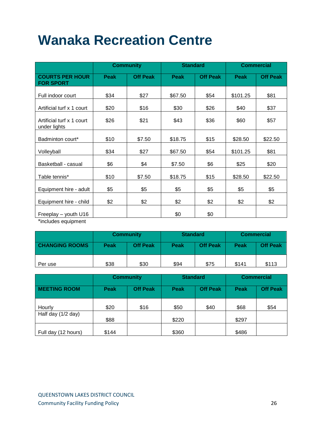## **Wanaka Recreation Centre**

|                                            | <b>Community</b> |                 |             | <b>Standard</b> |             | <b>Commercial</b> |  |
|--------------------------------------------|------------------|-----------------|-------------|-----------------|-------------|-------------------|--|
| <b>COURTS PER HOUR</b><br><b>FOR SPORT</b> | <b>Peak</b>      | <b>Off Peak</b> | <b>Peak</b> | <b>Off Peak</b> | <b>Peak</b> | <b>Off Peak</b>   |  |
| Full indoor court                          | \$34             | \$27            | \$67.50     | \$54            | \$101.25    | \$81              |  |
| Artificial turf x 1 court                  | \$20             | \$16            | \$30        | \$26            | \$40        | \$37              |  |
| Artificial turf x 1 court<br>under lights  | \$26             | \$21            | \$43        | \$36            | \$60        | \$57              |  |
| Badminton court*                           | \$10             | \$7.50          | \$18.75     | \$15            | \$28.50     | \$22.50           |  |
| Volleyball                                 | \$34             | \$27            | \$67.50     | \$54            | \$101.25    | \$81              |  |
| Basketball - casual                        | \$6              | \$4             | \$7.50      | \$6             | \$25        | \$20              |  |
| Table tennis*                              | \$10             | \$7.50          | \$18.75     | \$15            | \$28.50     | \$22.50           |  |
| Equipment hire - adult                     | \$5              | \$5             | \$5         | \$5             | \$5         | \$5               |  |
| Equipment hire - child                     | \$2              | \$2             | \$2         | \$2             | \$2         | \$2               |  |
| Freeplay - youth U16<br>$*in$              |                  |                 | \$0         | \$0             |             |                   |  |

\*includes equipment

|                       | <b>Community</b> |                 | <b>Standard</b> |                 | <b>Commercial</b> |                 |
|-----------------------|------------------|-----------------|-----------------|-----------------|-------------------|-----------------|
| <b>CHANGING ROOMS</b> | Peak             | <b>Off Peak</b> | Peak            | <b>Off Peak</b> | Peak              | <b>Off Peak</b> |
| Per use               | \$38             | \$30            | \$94            | \$75            | \$141             | \$113           |

|                     | <b>Community</b> |                 | <b>Standard</b> |                 | <b>Commercial</b> |                 |
|---------------------|------------------|-----------------|-----------------|-----------------|-------------------|-----------------|
| <b>MEETING ROOM</b> | <b>Peak</b>      | <b>Off Peak</b> | Peak            | <b>Off Peak</b> | Peak              | <b>Off Peak</b> |
| Hourly              | \$20             | \$16            | \$50            | \$40            | \$68              | \$54            |
| Half day (1/2 day)  | \$88             |                 | \$220           |                 | \$297             |                 |
| Full day (12 hours) | \$144            |                 | \$360           |                 | \$486             |                 |

QUEENSTOWN LAKES DISTRICT COUNCIL **Community Facility Funding Policy 26**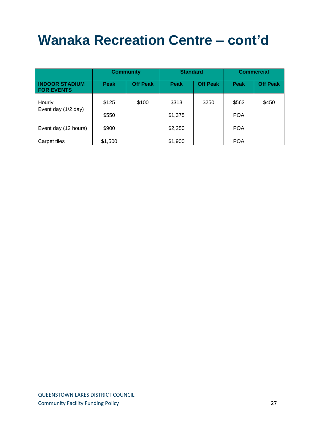# **Wanaka Recreation Centre – cont'd**

|                                            | <b>Community</b> |                 | <b>Standard</b> |                 | <b>Commercial</b> |                 |
|--------------------------------------------|------------------|-----------------|-----------------|-----------------|-------------------|-----------------|
| <b>INDOOR STADIUM</b><br><b>FOR EVENTS</b> | <b>Peak</b>      | <b>Off Peak</b> | <b>Peak</b>     | <b>Off Peak</b> | <b>Peak</b>       | <b>Off Peak</b> |
| Hourly                                     | \$125            | \$100           | \$313           | \$250           | \$563             | \$450           |
| Event day (1/2 day)                        | \$550            |                 | \$1,375         |                 | <b>POA</b>        |                 |
| Event day (12 hours)                       | \$900            |                 | \$2,250         |                 | <b>POA</b>        |                 |
| Carpet tiles                               | \$1,500          |                 | \$1,900         |                 | <b>POA</b>        |                 |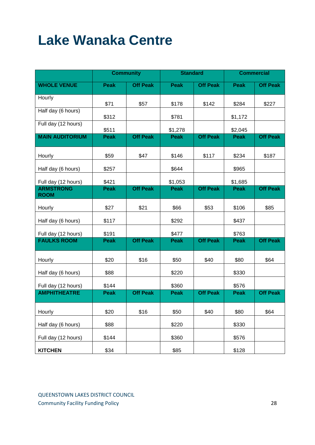# **Lake Wanaka Centre**

|                                 |             | <b>Community</b><br><b>Standard</b> |             | <b>Commercial</b> |             |                 |
|---------------------------------|-------------|-------------------------------------|-------------|-------------------|-------------|-----------------|
| <b>WHOLE VENUE</b>              | <b>Peak</b> | <b>Off Peak</b>                     | <b>Peak</b> | <b>Off Peak</b>   | <b>Peak</b> | <b>Off Peak</b> |
| Hourly                          | \$71        | \$57                                | \$178       | \$142             | \$284       | \$227           |
| Half day (6 hours)              | \$312       |                                     | \$781       |                   | \$1,172     |                 |
| Full day (12 hours)             | \$511       |                                     | \$1,278     |                   | \$2,045     |                 |
| <b>MAIN AUDITORIUM</b>          | <b>Peak</b> | <b>Off Peak</b>                     | <b>Peak</b> | <b>Off Peak</b>   | <b>Peak</b> | <b>Off Peak</b> |
| Hourly                          | \$59        | \$47                                | \$146       | \$117             | \$234       | \$187           |
| Half day (6 hours)              | \$257       |                                     | \$644       |                   | \$965       |                 |
| Full day (12 hours)             | \$421       |                                     | \$1,053     |                   | \$1,685     |                 |
| <b>ARMSTRONG</b><br><b>ROOM</b> | <b>Peak</b> | <b>Off Peak</b>                     | <b>Peak</b> | <b>Off Peak</b>   | <b>Peak</b> | <b>Off Peak</b> |
| Hourly                          | \$27        | \$21                                | \$66        | \$53              | \$106       | \$85            |
| Half day (6 hours)              | \$117       |                                     | \$292       |                   | \$437       |                 |
| Full day (12 hours)             | \$191       |                                     | \$477       |                   | \$763       |                 |
| <b>FAULKS ROOM</b>              | <b>Peak</b> | <b>Off Peak</b>                     | <b>Peak</b> | <b>Off Peak</b>   | <b>Peak</b> | <b>Off Peak</b> |
| Hourly                          | \$20        | \$16                                | \$50        | \$40              | \$80        | \$64            |
| Half day (6 hours)              | \$88        |                                     | \$220       |                   | \$330       |                 |
| Full day (12 hours)             | \$144       |                                     | \$360       |                   | \$576       |                 |
| <b>AMPHITHEATRE</b>             | <b>Peak</b> | <b>Off Peak</b>                     | <b>Peak</b> | <b>Off Peak</b>   | <b>Peak</b> | <b>Off Peak</b> |
| Hourly                          | \$20        | \$16                                | \$50        | \$40              | \$80        | \$64            |
| Half day (6 hours)              | \$88        |                                     | \$220       |                   | \$330       |                 |
| Full day (12 hours)             | \$144       |                                     | \$360       |                   | \$576       |                 |
| <b>KITCHEN</b>                  | \$34        |                                     | \$85        |                   | \$128       |                 |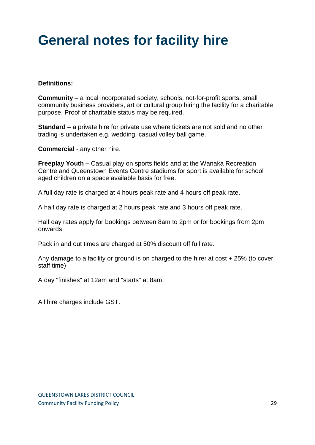## **General notes for facility hire**

### **Definitions:**

**Community** – a local incorporated society, schools, not-for-profit sports, small community business providers, art or cultural group hiring the facility for a charitable purpose. Proof of charitable status may be required.

**Standard** – a private hire for private use where tickets are not sold and no other trading is undertaken e.g. wedding, casual volley ball game.

**Commercial** - any other hire.

**Freeplay Youth –** Casual play on sports fields and at the Wanaka Recreation Centre and Queenstown Events Centre stadiums for sport is available for school aged children on a space available basis for free.

A full day rate is charged at 4 hours peak rate and 4 hours off peak rate.

A half day rate is charged at 2 hours peak rate and 3 hours off peak rate.

Half day rates apply for bookings between 8am to 2pm or for bookings from 2pm onwards.

Pack in and out times are charged at 50% discount off full rate.

Any damage to a facility or ground is on charged to the hirer at cost + 25% (to cover staff time)

A day "finishes" at 12am and "starts" at 8am.

All hire charges include GST.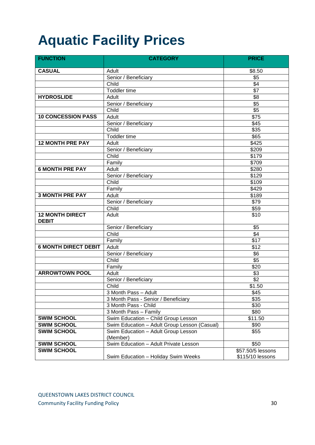# **Aquatic Facility Prices**

| <b>FUNCTION</b>                        | <b>CATEGORY</b>                               | <b>PRICE</b>                          |
|----------------------------------------|-----------------------------------------------|---------------------------------------|
| <b>CASUAL</b>                          | Adult                                         | \$8.50                                |
|                                        | Senior / Beneficiary                          | $\sqrt{$5}$                           |
|                                        | Child                                         | $\sqrt{4}$                            |
|                                        | <b>Toddler time</b>                           | $\overline{$7}$                       |
| <b>HYDROSLIDE</b>                      | Adult                                         | $\sqrt{8}$                            |
|                                        | Senior / Beneficiary                          | $\sqrt[6]{5}$                         |
|                                        | Child                                         | \$5                                   |
| <b>10 CONCESSION PASS</b>              | Adult                                         | \$75                                  |
|                                        | Senior / Beneficiary                          | $\overline{$45}$                      |
|                                        | Child                                         | $\overline{$35}$                      |
|                                        | <b>Toddler time</b>                           | \$65                                  |
| <b>12 MONTH PRE PAY</b>                | Adult                                         | \$425                                 |
|                                        | Senior / Beneficiary                          | \$209                                 |
|                                        | Child                                         | \$179                                 |
|                                        | Family                                        | \$709                                 |
| <b>6 MONTH PRE PAY</b>                 | Adult                                         | \$280                                 |
|                                        | Senior / Beneficiary                          | \$129                                 |
|                                        | Child                                         | \$109                                 |
|                                        | Family                                        | \$429                                 |
| <b>3 MONTH PRE PAY</b>                 | Adult                                         | \$189                                 |
|                                        | Senior / Beneficiary                          | $\overline{$79}$                      |
|                                        | Child                                         | \$59                                  |
| <b>12 MONTH DIRECT</b><br><b>DEBIT</b> | Adult                                         | \$10                                  |
|                                        | Senior / Beneficiary                          | $\sqrt{$5}$                           |
|                                        | Child                                         | $\sqrt{4}$                            |
|                                        | Family                                        | $\overline{$17}$                      |
| <b>6 MONTH DIRECT DEBIT</b>            | Adult                                         | $\sqrt{$12}$                          |
|                                        | Senior / Beneficiary                          | \$6                                   |
|                                        | Child                                         | $\sqrt{5}$                            |
|                                        | Family                                        | \$20                                  |
| <b>ARROWTOWN POOL</b>                  | Adult                                         | $\sqrt{$3}$                           |
|                                        | Senior / Beneficiary                          | $\overline{$2$}$                      |
|                                        | Child                                         | \$1.50                                |
|                                        | 3 Month Pass - Adult                          | \$45                                  |
|                                        | 3 Month Pass - Senior / Beneficiary           | \$35                                  |
|                                        | 3 Month Pass - Child<br>3 Month Pass - Family | \$30<br>\$80                          |
| <b>SWIM SCHOOL</b>                     | Swim Education - Child Group Lesson           | \$11.50                               |
| <b>SWIM SCHOOL</b>                     | Swim Education - Adult Group Lesson (Casual)  | \$90                                  |
| <b>SWIM SCHOOL</b>                     | Swim Education - Adult Group Lesson           | \$55                                  |
|                                        | (Member)                                      |                                       |
| <b>SWIM SCHOOL</b>                     | Swim Education - Adult Private Lesson         | \$50                                  |
| <b>SWIM SCHOOL</b>                     | Swim Education - Holiday Swim Weeks           | \$57.50/5 lessons<br>\$115/10 lessons |